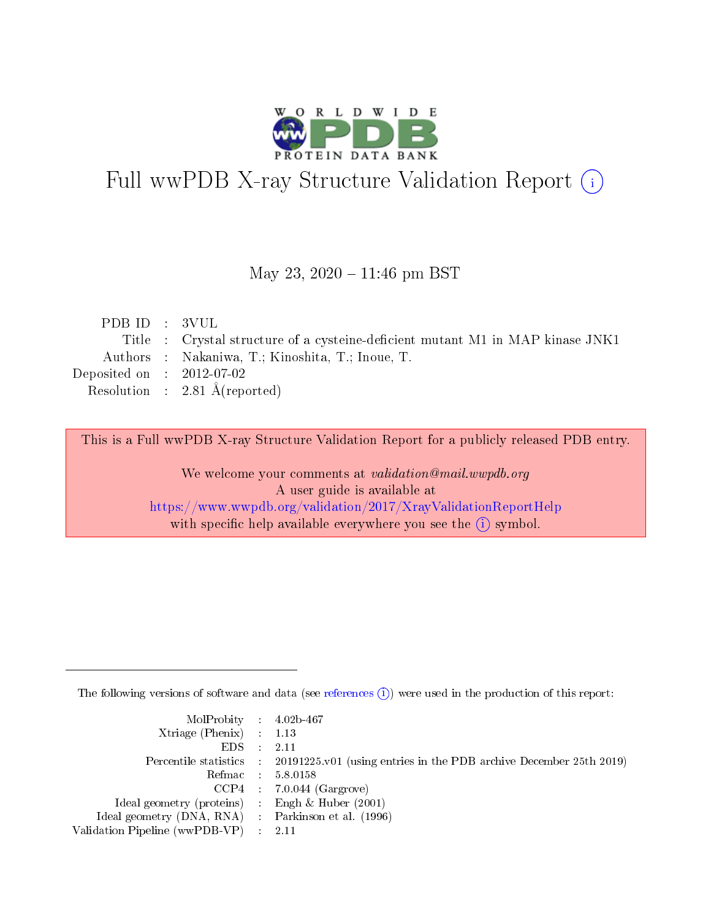

# Full wwPDB X-ray Structure Validation Report (i)

#### May 23, 2020 - 11:46 pm BST

| PDB ID : 3VUL               |                                                                                |
|-----------------------------|--------------------------------------------------------------------------------|
|                             | Title : Crystal structure of a cysteine-deficient mutant M1 in MAP kinase JNK1 |
|                             | Authors : Nakaniwa, T.; Kinoshita, T.; Inoue, T.                               |
| Deposited on : $2012-07-02$ |                                                                                |
|                             | Resolution : $2.81 \text{ Å}$ (reported)                                       |
|                             |                                                                                |

This is a Full wwPDB X-ray Structure Validation Report for a publicly released PDB entry.

We welcome your comments at validation@mail.wwpdb.org A user guide is available at <https://www.wwpdb.org/validation/2017/XrayValidationReportHelp> with specific help available everywhere you see the  $(i)$  symbol.

The following versions of software and data (see [references](https://www.wwpdb.org/validation/2017/XrayValidationReportHelp#references)  $(i)$ ) were used in the production of this report:

| $MolProbability$ 4.02b-467                          |                                                                                            |
|-----------------------------------------------------|--------------------------------------------------------------------------------------------|
| Xtriage (Phenix) $: 1.13$                           |                                                                                            |
| $EDS$ :                                             | -2.11                                                                                      |
|                                                     | Percentile statistics : 20191225.v01 (using entries in the PDB archive December 25th 2019) |
|                                                     | Refmac : 5.8.0158                                                                          |
|                                                     | $CCP4$ : 7.0.044 (Gargrove)                                                                |
| Ideal geometry (proteins) : Engh $\&$ Huber (2001)  |                                                                                            |
| Ideal geometry (DNA, RNA) : Parkinson et al. (1996) |                                                                                            |
| Validation Pipeline (wwPDB-VP)                      | -2.11                                                                                      |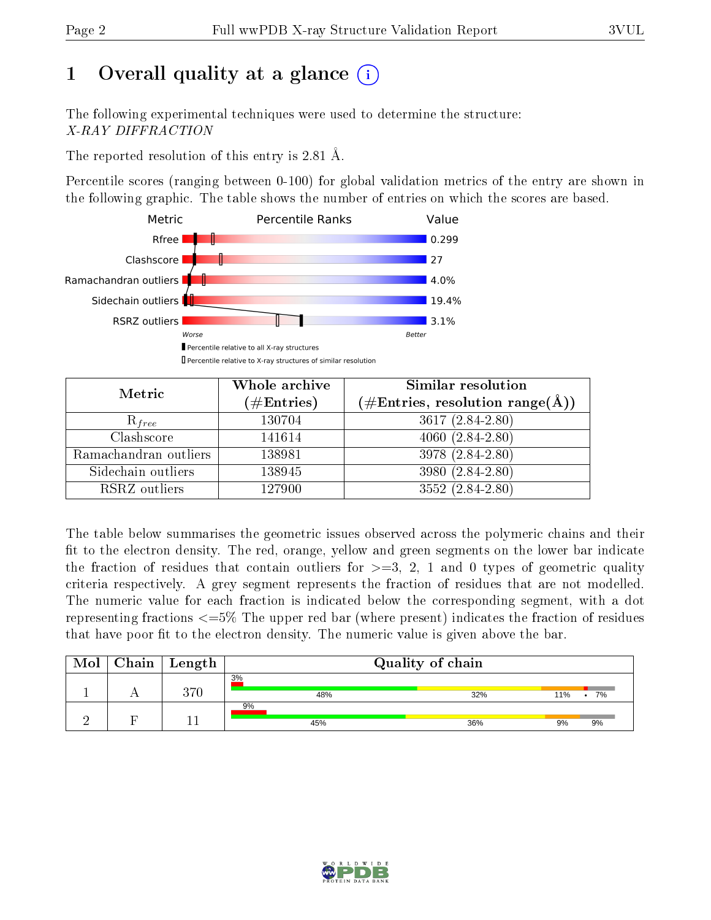# 1 [O](https://www.wwpdb.org/validation/2017/XrayValidationReportHelp#overall_quality)verall quality at a glance  $(i)$

The following experimental techniques were used to determine the structure: X-RAY DIFFRACTION

The reported resolution of this entry is 2.81 Å.

Percentile scores (ranging between 0-100) for global validation metrics of the entry are shown in the following graphic. The table shows the number of entries on which the scores are based.



| Metric                | Whole archive        | Similar resolution                                                     |
|-----------------------|----------------------|------------------------------------------------------------------------|
|                       | $(\#\text{Entries})$ | $(\#\text{Entries},\,\text{resolution}\,\,\text{range}(\textup{\AA}))$ |
| $R_{free}$            | 130704               | $3617 (2.84 - 2.80)$                                                   |
| Clashscore            | 141614               | $4060(2.84-2.80)$                                                      |
| Ramachandran outliers | 138981               | 3978 (2.84-2.80)                                                       |
| Sidechain outliers    | 138945               | 3980 (2.84-2.80)                                                       |
| RSRZ outliers         | 127900               | $3552(2.84-2.80)$                                                      |

The table below summarises the geometric issues observed across the polymeric chains and their fit to the electron density. The red, orange, yellow and green segments on the lower bar indicate the fraction of residues that contain outliers for  $>=3, 2, 1$  and 0 types of geometric quality criteria respectively. A grey segment represents the fraction of residues that are not modelled. The numeric value for each fraction is indicated below the corresponding segment, with a dot representing fractions  $\epsilon=5\%$  The upper red bar (where present) indicates the fraction of residues that have poor fit to the electron density. The numeric value is given above the bar.

| Mol | Chain | Length  | Quality of chain |     |     |                 |  |  |
|-----|-------|---------|------------------|-----|-----|-----------------|--|--|
|     |       | $370\,$ | 3%<br>48%        | 32% | 11% | 7%<br>$\bullet$ |  |  |
|     |       |         | 9%<br>45%        | 36% | 9%  | 9%              |  |  |

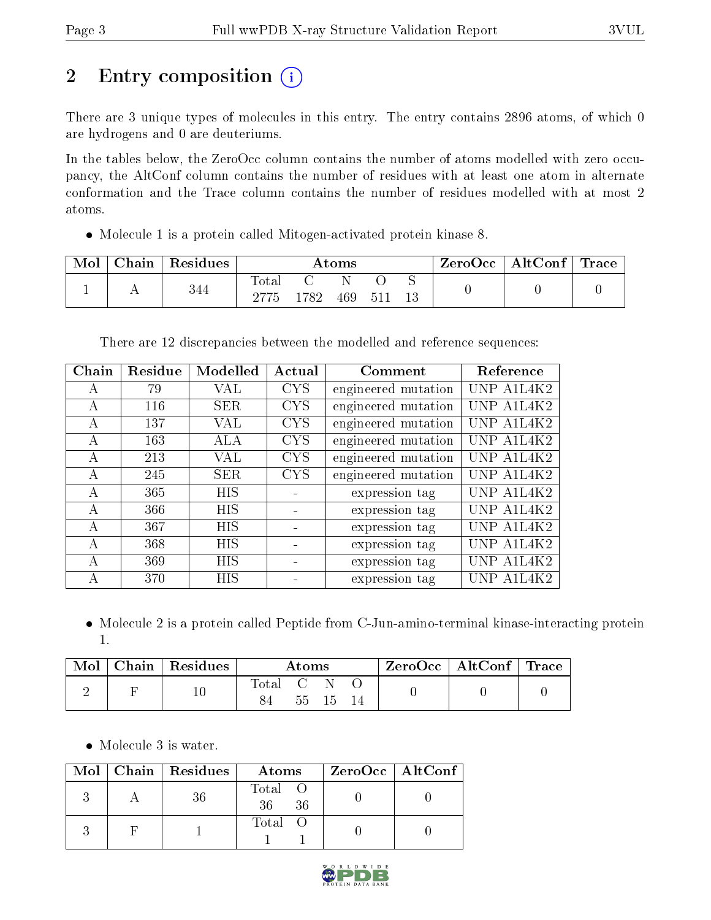# 2 Entry composition (i)

There are 3 unique types of molecules in this entry. The entry contains 2896 atoms, of which 0 are hydrogens and 0 are deuteriums.

In the tables below, the ZeroOcc column contains the number of atoms modelled with zero occupancy, the AltConf column contains the number of residues with at least one atom in alternate conformation and the Trace column contains the number of residues modelled with at most 2 atoms.

Molecule 1 is a protein called Mitogen-activated protein kinase 8.

| Mol | Chain | $^{\shortmid}$ Residues | Atoms |      |     |       |         | ZeroOcc | $\mid$ AltConf $\mid$ Trace $\mid$ |  |
|-----|-------|-------------------------|-------|------|-----|-------|---------|---------|------------------------------------|--|
|     |       | 344                     | Tota. | .782 | 469 | - 511 | ◡<br>13 |         |                                    |  |

There are 12 discrepancies between the modelled and reference sequences:

| Chain        | Residue | Modelled   | Actual     | Comment             | Reference     |
|--------------|---------|------------|------------|---------------------|---------------|
| А            | 79      | VAL        | <b>CYS</b> | engineered mutation | UNP A1L4K2    |
| А            | 116     | <b>SER</b> | <b>CYS</b> | engineered mutation | UNP A1L4K2    |
| $\mathsf{A}$ | 137     | VAL        | <b>CYS</b> | engineered mutation | UNP A1L4K2    |
| $\mathbf{A}$ | 163     | ALA        | <b>CYS</b> | engineered mutation | UNP A1L4K2    |
| A            | 213     | VAL        | <b>CYS</b> | engineered mutation | UNP A1L4K2    |
| А            | 245     | <b>SER</b> | <b>CYS</b> | engineered mutation | UNP A1L4K2    |
| А            | 365     | HIS        |            | expression tag      | AIL4K2        |
| А            | 366     | <b>HIS</b> |            | expression tag      | UNP A1L4K2    |
| $\mathsf{A}$ | 367     | <b>HIS</b> |            | expression tag      | UNP A1L4K2    |
| A            | 368     | HIS        |            | expression tag      | AIL4K2<br>UNP |
| А            | 369     | HIS        |            | expression tag      | AIL4K2        |
| А            | 370     | HIS        |            | expression tag      | A1L4K2        |

• Molecule 2 is a protein called Peptide from C-Jun-amino-terminal kinase-interacting protein 1.

|  | $\mid$ Mol $\mid$ Chain $\mid$ Residues $\mid$ | Atoms      |  |          | ZeroOcc   AltConf   Trace |  |
|--|------------------------------------------------|------------|--|----------|---------------------------|--|
|  | $10\,$                                         | [Total C N |  | 55 15 14 |                           |  |

• Molecule 3 is water.

|  | Mol   Chain   Residues | Atoms                | ZeroOcc   AltConf |
|--|------------------------|----------------------|-------------------|
|  | 36                     | Total O<br>36<br>-36 |                   |
|  |                        | Total                |                   |

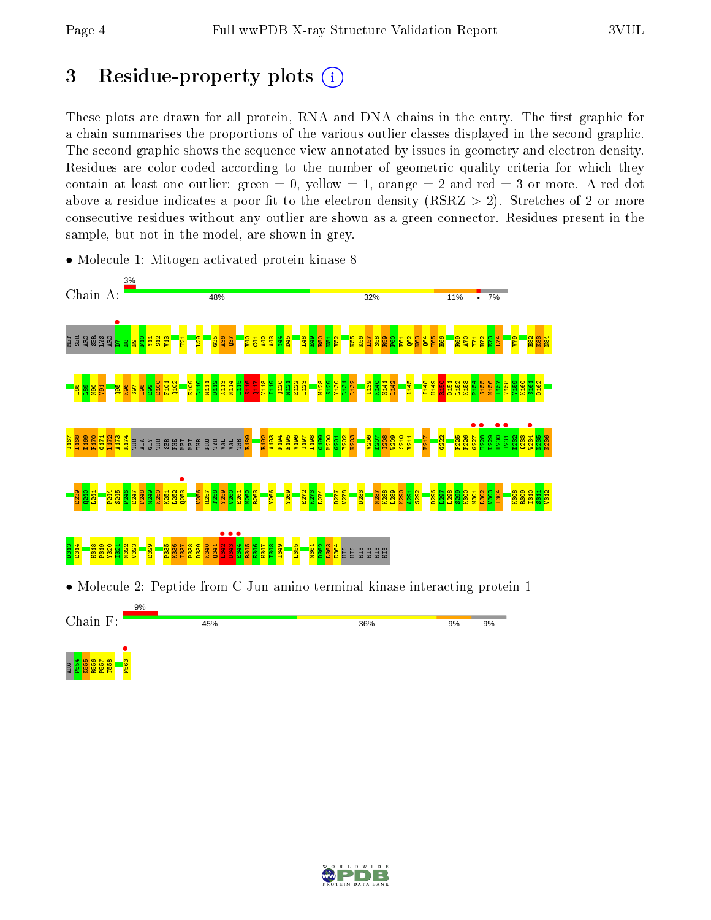e<br>អ្នកមាន<br>ក្នុង <mark>អ្នក</mark> ក្នុង

F563 •

## 3 Residue-property plots  $(i)$

These plots are drawn for all protein, RNA and DNA chains in the entry. The first graphic for a chain summarises the proportions of the various outlier classes displayed in the second graphic. The second graphic shows the sequence view annotated by issues in geometry and electron density. Residues are color-coded according to the number of geometric quality criteria for which they contain at least one outlier: green  $= 0$ , yellow  $= 1$ , orange  $= 2$  and red  $= 3$  or more. A red dot above a residue indicates a poor fit to the electron density (RSRZ  $> 2$ ). Stretches of 2 or more consecutive residues without any outlier are shown as a green connector. Residues present in the sample, but not in the model, are shown in grey.



• Molecule 1: Mitogen-activated protein kinase 8

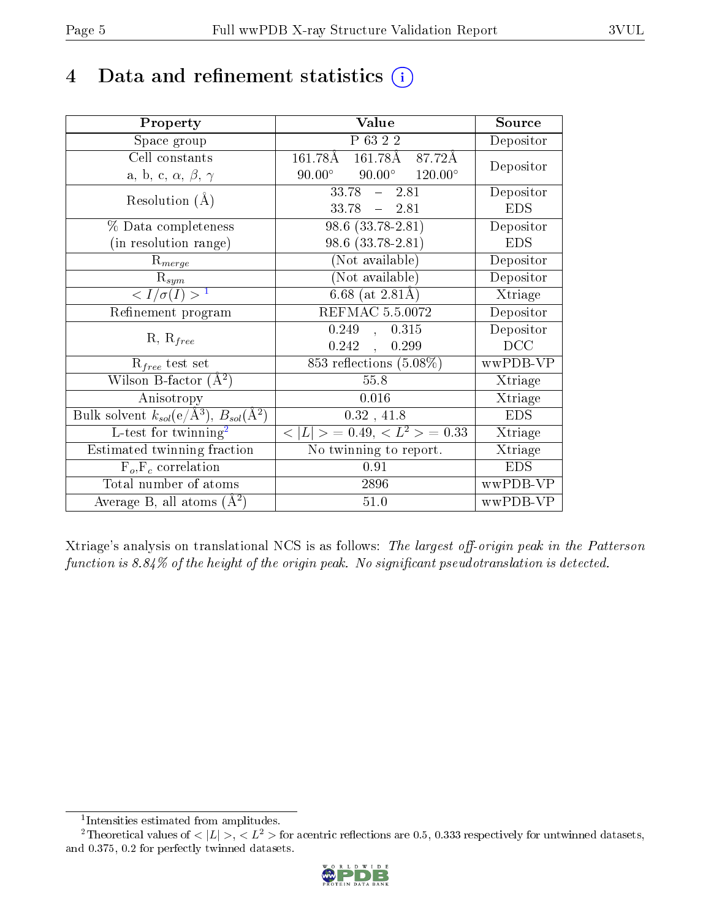## 4 Data and refinement statistics  $(i)$

| Property                                                         | Value                                             | Source     |
|------------------------------------------------------------------|---------------------------------------------------|------------|
| Space group                                                      | P 63 2 2                                          | Depositor  |
| Cell constants                                                   | 161.78Å<br>161.78Å<br>87.72Å                      |            |
| a, b, c, $\alpha$ , $\beta$ , $\gamma$                           | $90.00^{\circ}$ $120.00^{\circ}$<br>$90.00^\circ$ | Depositor  |
| Resolution $(A)$                                                 | $33.78 -$<br>2.81                                 | Depositor  |
|                                                                  | 33.78<br>$-2.81$                                  | <b>EDS</b> |
| % Data completeness                                              | $98.6(33.78-2.81)$                                | Depositor  |
| (in resolution range)                                            | 98.6 (33.78-2.81)                                 | <b>EDS</b> |
| $R_{merge}$                                                      | (Not available)                                   | Depositor  |
| $\mathrm{R}_{sym}$                                               | (Not available)                                   | Depositor  |
| $\langle I/\sigma(I) \rangle^{-1}$                               | 6.68 (at $2.81\text{\AA}$ )                       | Xtriage    |
| Refinement program                                               | REFMAC 5.5.0072                                   | Depositor  |
|                                                                  | 0.249,<br>0.315                                   | Depositor  |
| $R, R_{free}$                                                    | $0.242$ ,<br>0.299                                | DCC        |
| $\mathcal{R}_{free}$ test set                                    | 853 reflections $(5.08\%)$                        | wwPDB-VP   |
| Wilson B-factor $(A^2)$                                          | 55.8                                              | Xtriage    |
| Anisotropy                                                       | 0.016                                             | Xtriage    |
| Bulk solvent $k_{sol}(\text{e}/\text{A}^3), B_{sol}(\text{A}^2)$ | $0.32$ , $41.8\,$                                 | <b>EDS</b> |
| L-test for $\mathrm{twinning}^2$                                 | $< L >$ = 0.49, $< L^2 >$ = 0.33                  | Xtriage    |
| Estimated twinning fraction                                      | $\overline{\text{No}}$ twinning to report.        | Xtriage    |
| $\overline{F_o}, \overline{F_c}$ correlation                     | 0.91                                              | <b>EDS</b> |
| Total number of atoms                                            | 2896                                              | wwPDB-VP   |
| Average B, all atoms $(A^2)$                                     | 51.0                                              | wwPDB-VP   |

Xtriage's analysis on translational NCS is as follows: The largest off-origin peak in the Patterson function is  $8.84\%$  of the height of the origin peak. No significant pseudotranslation is detected.

<sup>&</sup>lt;sup>2</sup>Theoretical values of  $\langle |L| \rangle$ ,  $\langle L^2 \rangle$  for acentric reflections are 0.5, 0.333 respectively for untwinned datasets, and 0.375, 0.2 for perfectly twinned datasets.



<span id="page-4-1"></span><span id="page-4-0"></span><sup>1</sup> Intensities estimated from amplitudes.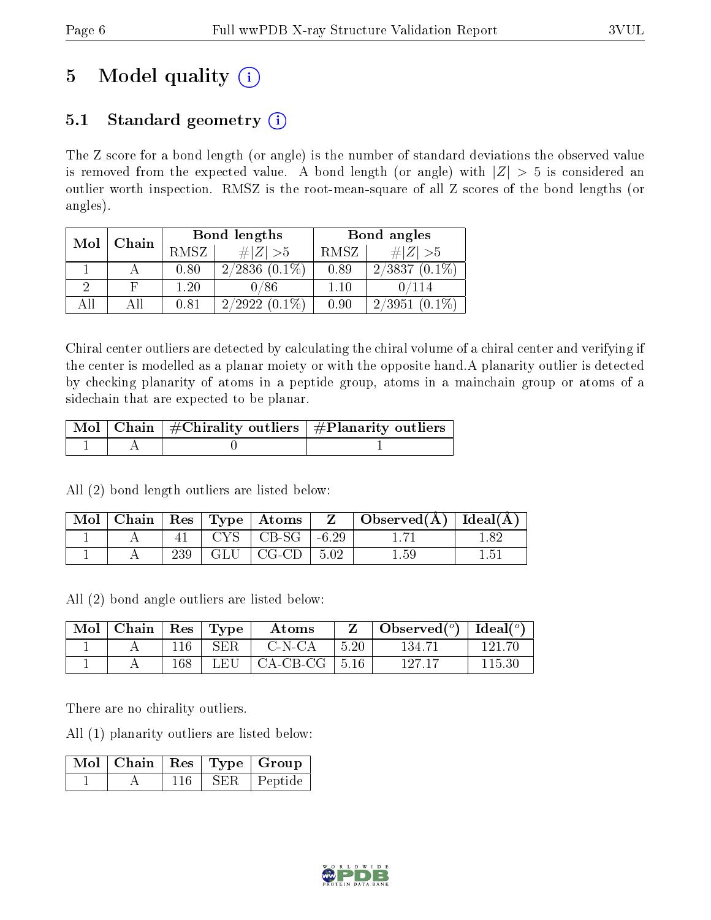# 5 Model quality  $(i)$

### 5.1 Standard geometry  $(i)$

The Z score for a bond length (or angle) is the number of standard deviations the observed value is removed from the expected value. A bond length (or angle) with  $|Z| > 5$  is considered an outlier worth inspection. RMSZ is the root-mean-square of all Z scores of the bond lengths (or angles).

| Mol | Chain |      | Bond lengths    | Bond angles |                     |  |
|-----|-------|------|-----------------|-------------|---------------------|--|
|     |       | RMSZ | $\# Z  > 5$     | RMSZ        | $\# Z  > 5$         |  |
|     |       | 0.80 | $2/2836(0.1\%)$ | 0.89        | $2/3837(0.1\%)$     |  |
| 9   |       | 1.20 | 0/86            | 1.10        | $\sqrt{114}$        |  |
| AΠ  |       | 0.81 | $2/2922(0.1\%)$ | 0.90        | 2/3951<br>$(0.1\%)$ |  |

Chiral center outliers are detected by calculating the chiral volume of a chiral center and verifying if the center is modelled as a planar moiety or with the opposite hand.A planarity outlier is detected by checking planarity of atoms in a peptide group, atoms in a mainchain group or atoms of a sidechain that are expected to be planar.

|  | $\lceil \text{Mol} \rceil$ Chain $\mid \#\text{Chirality outliers} \mid \#\text{Planarity outliers} \mid$ |
|--|-----------------------------------------------------------------------------------------------------------|
|  |                                                                                                           |

All (2) bond length outliers are listed below:

|  |     |                       | $\mid$ Mol $\mid$ Chain $\mid$ Res $\mid$ Type $\mid$ Atoms $\mid$ Z $\mid$ Observed(Å) $\mid$ Ideal(Å) $\mid$ |     |
|--|-----|-----------------------|----------------------------------------------------------------------------------------------------------------|-----|
|  |     | $CYS$   CB-SG   -6.29 |                                                                                                                |     |
|  | 239 | $GLU$   CG-CD   5.02  | 1.59                                                                                                           | L5. |

All (2) bond angle outliers are listed below:

| $\text{Mol}$ | $\mid$ Chain $\mid$ Res $\mid$ Type |     |            | $\boldsymbol{\mathrm{Atoms}}$ |            | Observed( $^o$ )   Ideal( $^o$ ) |        |
|--------------|-------------------------------------|-----|------------|-------------------------------|------------|----------------------------------|--------|
|              |                                     | 116 | <b>SER</b> | C-N-CA                        | $\pm 5.20$ | 134.71                           | 121.70 |
|              |                                     | 168 | LEU        | $\vert$ CA-CB-CG $\vert$ 5.16 |            | 127 17                           | 115.30 |

There are no chirality outliers.

All (1) planarity outliers are listed below:

|  |     | $\blacksquare$ Mol $\vert$ Chain $\vert$ Res $\vert$ Type $\vert$ Group |
|--|-----|-------------------------------------------------------------------------|
|  | SER | Peptide                                                                 |

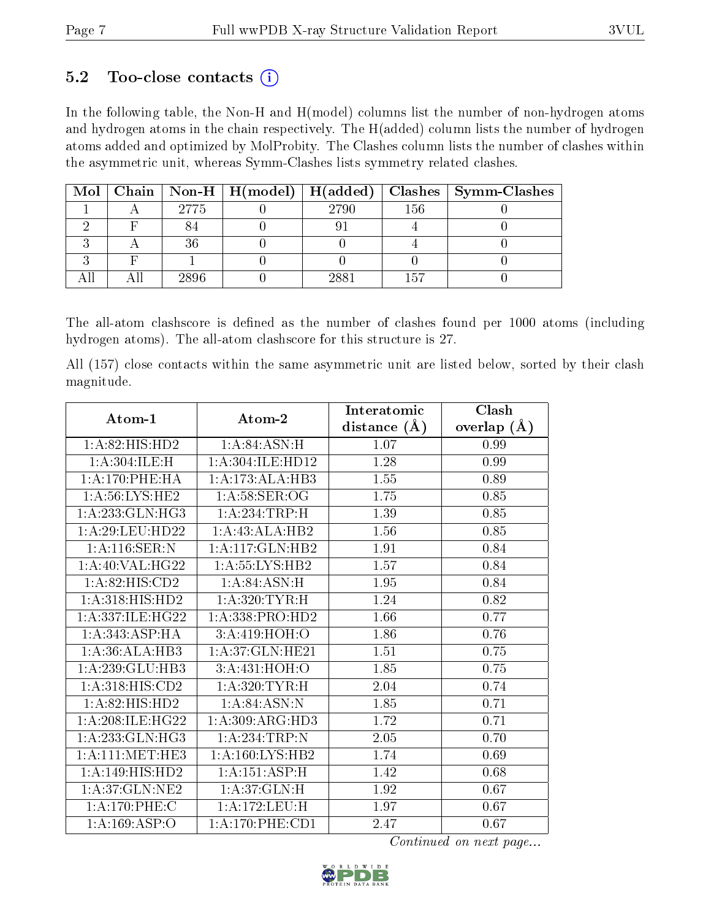### 5.2 Too-close contacts  $(i)$

In the following table, the Non-H and H(model) columns list the number of non-hydrogen atoms and hydrogen atoms in the chain respectively. The H(added) column lists the number of hydrogen atoms added and optimized by MolProbity. The Clashes column lists the number of clashes within the asymmetric unit, whereas Symm-Clashes lists symmetry related clashes.

|  |      |      |     | Mol   Chain   Non-H   H(model)   H(added)   Clashes   Symm-Clashes |
|--|------|------|-----|--------------------------------------------------------------------|
|  | 2775 | 2790 | 156 |                                                                    |
|  |      |      |     |                                                                    |
|  |      |      |     |                                                                    |
|  |      |      |     |                                                                    |
|  | 2896 | 2881 |     |                                                                    |

The all-atom clashscore is defined as the number of clashes found per 1000 atoms (including hydrogen atoms). The all-atom clashscore for this structure is 27.

All (157) close contacts within the same asymmetric unit are listed below, sorted by their clash magnitude.

| Atom-1                     | Atom-2              | Interatomic      | Clash         |  |
|----------------------------|---------------------|------------------|---------------|--|
|                            |                     | distance $(\AA)$ | overlap $(A)$ |  |
| 1: A:82: HIS: HD2          | 1: A:84: ASN:H      | 1.07             | 0.99          |  |
| 1:A:304:ILE:H              | 1:A:304:ILE:HD12    | 1.28             | 0.99          |  |
| 1: A:170: PHE: HA          | 1:A:173:ALA:HB3     | 1.55             | 0.89          |  |
| 1: A:56: LYS: HE2          | 1: A:58: SER:OG     | 1.75             | 0.85          |  |
| 1: A: 233: GLN: HG3        | 1:A:234:TRP:H       | 1.39             | $0.85\,$      |  |
| 1: A:29: LEU: HD22         | 1:A:43:ALA:HB2      | 1.56             | 0.85          |  |
| 1: A:116: SER: N           | 1:A:117:GLN:HB2     | 1.91             | 0.84          |  |
| 1:A:40:VAL:HG22            | 1:A:55:LYS:HB2      | 1.57             | 0.84          |  |
| 1:A:82:HIS:CD2             | 1: A:84: ASN:H      | 1.95             | 0.84          |  |
| 1: A:318: HIS: HD2         | 1: A:320: TYR:H     | 1.24             | 0.82          |  |
| 1:A:337:ILE:HG22           | 1:A:338:PRO:HD2     | 1.66             | 0.77          |  |
| 1: A:343: ASP:HA           | 3:A:419:HOH:O       | 1.86             | 0.76          |  |
| 1:A:36:ALA:HB3             | 1: A:37: GLN: HE21  | 1.51             | 0.75          |  |
| 1:A:239:GLU:HB3            | 3:A:431:HOH:O       | 1.85             | 0.75          |  |
| 1:A:318:HIS:CD2            | 1: A:320: TYR:H     | 2.04             | 0.74          |  |
| 1:A:82:HIS:HD2             | 1: A:84: ASN: N     | 1.85             | 0.71          |  |
| 1: A:208: ILE: HG22        | 1:A:309:ARG:HD3     | 1.72             | 0.71          |  |
| 1:A:233:GLN:HG3            | $1:A:234$ : TRP: N  | 2.05             | 0.70          |  |
| 1: A:111:MET:HE3           | 1: A: 160: LYS: HB2 | 1.74             | 0.69          |  |
| 1: A:149:HIS:HD2           | 1: A:151: ASP:H     | 1.42             | 0.68          |  |
| 1:A:37:GLN:NE2             | 1:A:37:GLN:H        | 1.92             | 0.67          |  |
| 1:A:170:PHE:C              | 1:A:172:LEU:H       | 1.97             | 0.67          |  |
| $1:A:\overline{169:ASP:O}$ | 1: A:170: PHE:CD1   | 2.47             | 0.67          |  |

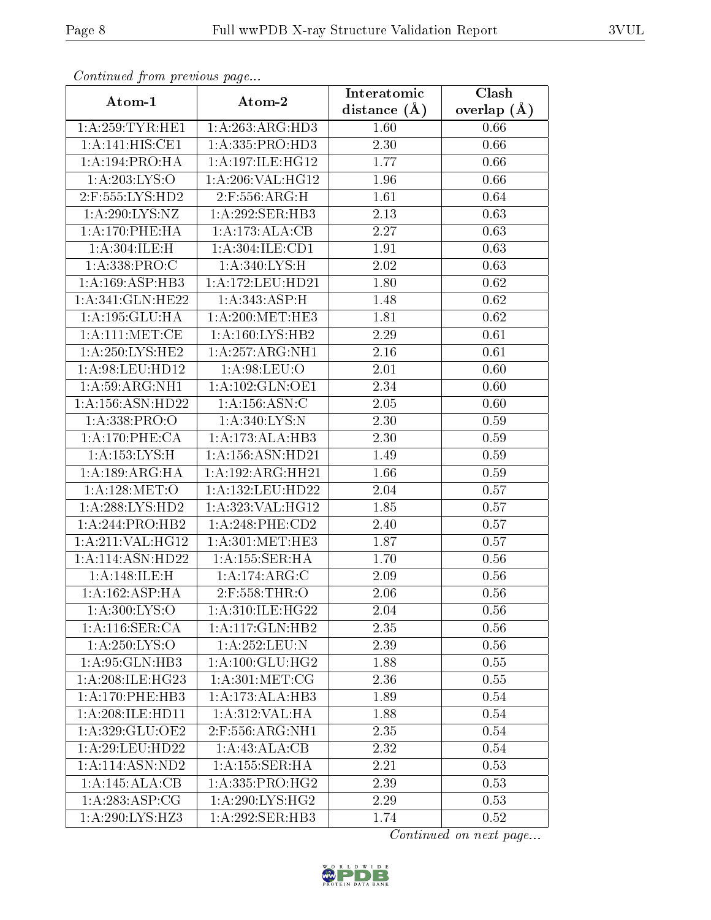| Continuea from previous page<br>Clash<br>Interatomic |                      |                   |                 |  |  |  |
|------------------------------------------------------|----------------------|-------------------|-----------------|--|--|--|
| Atom-1                                               | Atom-2               | distance $(A)$    | overlap $(\AA)$ |  |  |  |
| 1: A:259:TYR:HE1                                     | 1:A:263:ARG:HD3      | 1.60              | 0.66            |  |  |  |
| 1:A:141:HIS:CE1                                      | 1:A:335:PRO:HD3      | $\overline{2.30}$ | 0.66            |  |  |  |
| 1:A:194:PRO:HA                                       | 1:A:197:ILE:HG12     | 1.77              | 0.66            |  |  |  |
| $1:A:203:\overline{\text{LYS:O}}$                    | 1:A:206:VAL:HG12     | 1.96              | 0.66            |  |  |  |
| 2:F:555:LYS:HD2                                      | 2:F:556:ARG:H        | 1.61              | 0.64            |  |  |  |
| 1:A:290:LYS:NZ                                       | 1:A:292:SER:HB3      | 2.13              | 0.63            |  |  |  |
| 1: A:170: PHE: HA                                    | 1:A:173:ALA:CB       | 2.27              | 0.63            |  |  |  |
| 1:A:304:ILE:H                                        | 1:A:304:ILE:CD1      | 1.91              | 0.63            |  |  |  |
| 1:A:338:PRO:C                                        | 1:A:340:LYS:H        | 2.02              | 0.63            |  |  |  |
| 1: A: 169: ASP: HB3                                  | 1:A:172:LEU:HD21     | 1.80              | 0.62            |  |  |  |
| 1: A:341: GLN: HE22                                  | 1:A:343:ASP:H        | 1.48              | 0.62            |  |  |  |
| 1:A:195:GLU:HA                                       | 1: A:200:MET:HE3     | $\overline{1}.81$ | 0.62            |  |  |  |
| 1: A:111:MET:CE                                      | 1: A: 160: LYS: HB2  | 2.29              | 0.61            |  |  |  |
| 1: A:250:LYS:HE2                                     | 1:A:257:ARG:NH1      | 2.16              | 0.61            |  |  |  |
| 1:A:98:LEU:HD12                                      | 1: A:98: LEU:O       | 2.01              | 0.60            |  |  |  |
| $1:A:59:ARG:\overline{NH1}$                          | 1:A:102:GLN:OE1      | 2.34              | 0.60            |  |  |  |
| 1:A:156:ASN:HD22                                     | 1:A:156:ASN:C        | 2.05              | 0.60            |  |  |  |
| 1: A: 338: PRO:O                                     | 1: A:340: LYS:N      | 2.30              | 0.59            |  |  |  |
| 1:A:170:PHE:CA                                       | 1:A:173:ALA:HB3      | 2.30              | 0.59            |  |  |  |
| 1:A:153:LYS:H                                        | 1: A: 156: ASN: HD21 | 1.49              | 0.59            |  |  |  |
| 1: A: 189: ARG: HA                                   | 1:A:192:ARG:HH21     | 1.66              | 0.59            |  |  |  |
| 1: A:128: MET:O                                      | 1:A:132:LEU:HD22     | 2.04              | 0.57            |  |  |  |
| 1: A:288:LYS:HD2                                     | 1: A:323:VAL:HG12    | 1.85              | 0.57            |  |  |  |
| $1:A:244:PRO:\overline{HB2}$                         | $1: A:248:$ PHE:CD2  | 2.40              | 0.57            |  |  |  |
| 1:A:211:VAL:HG12                                     | 1: A:301:MET:HE3     | 1.87              | 0.57            |  |  |  |
| 1:A:114:ASN:HD22                                     | 1:A:155:SER:HA       | 1.70              | 0.56            |  |  |  |
| 1:A:148:ILE:H                                        | 1:A:174:ARG:C        | 2.09              | 0.56            |  |  |  |
| 1:A:162:ASP:HA                                       | 2:F:558:THR:O        | 2.06              | 0.56            |  |  |  |
| 1: A:300: LYS:O                                      | 1:A:310:ILE:HG22     | 2.04              | 0.56            |  |  |  |
| 1: A:116: SER:CA                                     | 1:A:117:GLN:HB2      | 2.35              | 0.56            |  |  |  |
| 1: A: 250: LYS:O                                     | 1: A:252:LEU:N       | 2.39              | 0.56            |  |  |  |
| 1: A:95: GLN:HB3                                     | 1: A:100: GLU:HG2    | 1.88              | 0.55            |  |  |  |
| 1: A:208: ILE: HG23                                  | 1: A:301: MET:CG     | 2.36              | 0.55            |  |  |  |
| 1:A:170:PHE:HB3                                      | 1:A:173:ALA:HB3      | 1.89              | 0.54            |  |  |  |
| 1:A:208:ILE:HD11                                     | 1: A:312: VAL: HA    | 1.88              | 0.54            |  |  |  |
| 1:A:329:GLU:OE2                                      | 2:F:556:ARG:NH1      | 2.35              | 0.54            |  |  |  |
| 1: A:29: LEU: HD22                                   | 1:A:43:ALA:CB        | 2.32              | 0.54            |  |  |  |
| 1:A:114:ASN:ND2                                      | 1: A: 155: SER:H A   | 2.21              | 0.53            |  |  |  |
| 1:A:145:ALA:CB                                       | 1: A: 335: PRO:HG2   | 2.39              | 0.53            |  |  |  |
| 1: A: 283: ASP: CG                                   | 1:A:290:LYS:HG2      | 2.29              | 0.53            |  |  |  |
| 1: A:290: LYS: HZ3                                   | 1:A:292:SER:HB3      | 1.74              | 0.52            |  |  |  |

Continued from previous page.

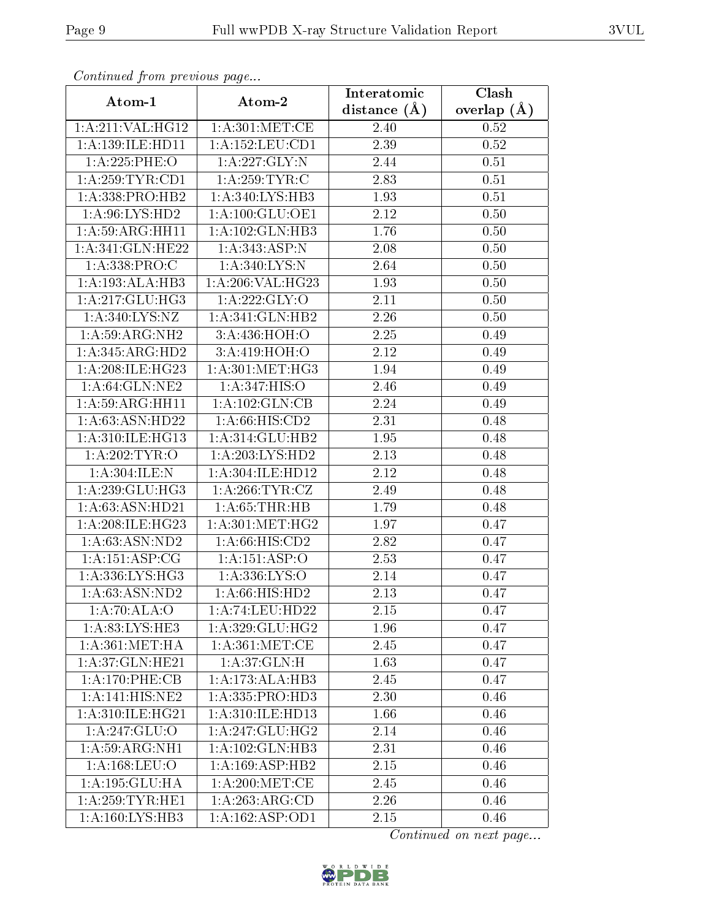| Comunaca jiom previous page          |                               | Interatomic       | Clash           |  |  |
|--------------------------------------|-------------------------------|-------------------|-----------------|--|--|
| Atom-1                               | Atom-2                        | distance $(A)$    | overlap $(\AA)$ |  |  |
| 1:A:211:VAL:HG12                     | 1: A:301: MET:CE              | 2.40              | 0.52            |  |  |
| 1: A: 139: ILE: HD11                 | 1:A:152:LEU:CD1               | 2.39              | 0.52            |  |  |
| 1:A:225:PHE:O                        | 1: A: 227: GLY:N              | 2.44              | 0.51            |  |  |
| 1: A:259:TYR:CD1                     | 1: A:259:TYR:C                | 2.83              | 0.51            |  |  |
| 1: A: 338: PRO: HB2                  | 1:A:340:LYS:HB3               | 1.93              | 0.51            |  |  |
| 1:A:96:LYS:HD2                       | 1: A: 100: GLU: OE1           | 2.12              | 0.50            |  |  |
| 1:A:59:ARG:HH11                      | 1:A:102:GLN:HB3               | 1.76              | 0.50            |  |  |
| 1:A:341:GLN:HE22                     | 1: A:343: ASP:N               | 2.08              | 0.50            |  |  |
| 1:A:338:PRO:C                        | 1:A:340:LYS:N                 | 2.64              | 0.50            |  |  |
| 1:A:193:ALA:HB3                      | 1:A:206:VAL:HG23              | 1.93              | 0.50            |  |  |
| 1: A:217: GLU:HG3                    | 1:A:222:GLY:O                 | 2.11              | 0.50            |  |  |
| 1:A:340:LYS:NZ                       | 1:A:341:GLN:HB2               | 2.26              | 0.50            |  |  |
| 1: A:59: ARG: NH2                    | 3:A:436:HOH:O                 | 2.25              | 0.49            |  |  |
| 1:A:345:ARG:HD2                      | $3:A:419:\overline{HOH:O}$    | 2.12              | 0.49            |  |  |
| 1:A:208:ILE:HG23                     | 1: A:301:MET:HG3              | 1.94              | 0.49            |  |  |
| 1: A:64: GLN:NE2                     | 1:A:347:HIS:O                 | 2.46              | 0.49            |  |  |
| 1:A:59:ARG:HH11                      | 1:A:102:GLN:CB                | 2.24              | 0.49            |  |  |
| 1:A:63:ASN:HD22                      | 1: A:66: HIS:CD2              | 2.31              | 0.48            |  |  |
| 1:A:310:ILE:HG13                     | 1:A:314:GLU:HB2               | 1.95              | 0.48            |  |  |
| 1: A:202:TYR:O                       | 1:A:203:LYS:HD2               | 2.13              | 0.48            |  |  |
| 1: A:304: ILE:N                      | 1: A:304: ILE: HD12           | $\overline{2}.12$ | 0.48            |  |  |
| 1: A:239: GLU:HG3                    | 1: A:266:TYR:CZ               | 2.49              | 0.48            |  |  |
| 1: A:63: ASN:HD21                    | 1: A:65:THR:HB                | 1.79              | 0.48            |  |  |
| 1:A:208:ILE:HG23                     | 1: A:301:MET:HG2              | 1.97              | 0.47            |  |  |
| 1:A:63:ASN:ND2                       | 1: A:66: HIS:CD2              | 2.82              | 0.47            |  |  |
| 1: A:151: ASP:CG                     | 1:A:151:ASP:O                 | 2.53              | 0.47            |  |  |
| 1: A: 336: LYS: HG3                  | 1: A: 336: LYS: O             | 2.14              | 0.47            |  |  |
| 1: A:63: ASN:ND2                     | 1:A:66:HIS:HD2                | 2.13              | 0.47            |  |  |
| 1:A:70:ALA:O                         | 1:A:74:LEU:HD22               | 2.15              | 0.47            |  |  |
| 1:A:83:LYS:HE3                       | 1:A:329:GLU:HG2               | 1.96              | 0.47            |  |  |
| $1:A:361:\overline{\mathrm{MET:HA}}$ | 1: A:361:MET:CE               | 2.45              | 0.47            |  |  |
| 1:A:37:GLN:HE21                      | 1:A:37:GLN:H                  | 1.63              | 0.47            |  |  |
| 1: A:170: PHE: CB                    | 1:A:173:ALA:HB3               | 2.45              | 0.47            |  |  |
| 1:A:141:HIS:NE2                      | 1: A: 335: PRO: HD3           | 2.30              | 0.46            |  |  |
| 1:A:310:ILE:HG21                     | 1: A:310: ILE: HD13           | 1.66              | 0.46            |  |  |
| 1:A:247:GLU:O                        | 1:A:247:GLU:HG2               | 2.14              | 0.46            |  |  |
| 1: A:59: ARG: NH1                    | 1:A:102:GLN:HB3               | 2.31              | 0.46            |  |  |
| 1: A: 168: LEU: O                    | $1:A:169: \overline{ASP:HB2}$ | 2.15              | 0.46            |  |  |
| 1: A: 195: GLU: HA                   | 1: A:200:MET:CE               | 2.45              | 0.46            |  |  |
| 1: A:259:TYR:HE1                     | 1:A:263:ARG:CD                | 2.26              | 0.46            |  |  |
| 1:A:160:LYS:HB3                      | $1:A:162: \overline{ASP:OD1}$ | 2.15              | 0.46            |  |  |

Continued from previous page.

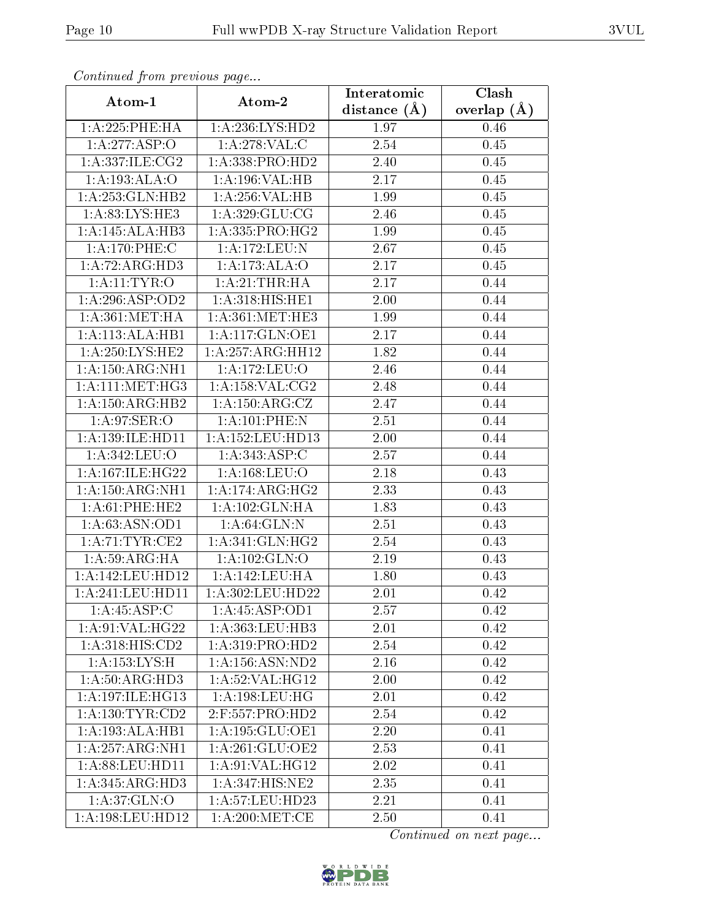| Continuea from previous page  |                        | Interatomic    | Clash         |  |  |
|-------------------------------|------------------------|----------------|---------------|--|--|
| Atom-1                        | Atom-2                 | distance $(A)$ | overlap $(A)$ |  |  |
| 1:A:225:PHE:HA                | 1: A:236: LYS: HD2     | 1.97           | 0.46          |  |  |
| 1:A:277:ASP:O                 | 1: A:278: VAL:C        | 2.54           | 0.45          |  |  |
| 1:A:337:ILE:CG2               | 1: A: 338: PRO: HD2    | 2.40           | 0.45          |  |  |
| 1:A:193:ALA:O                 | 1:A:196:VAL:HB         | 2.17           | 0.45          |  |  |
| 1:A:253:GLN:HB2               | 1:A:256:VAL:HB         | 1.99           | 0.45          |  |  |
| 1: A:83: LYS: HE3             | 1: A:329: GLU:CG       | 2.46           | 0.45          |  |  |
| 1:A:145:ALA:HB3               | 1:A:335:PRO:HG2        | 1.99           | 0.45          |  |  |
| 1:A:170:PHE:C                 | 1: A: 172: LEU: N      | 2.67           | 0.45          |  |  |
| 1:A:72:ARG:HD3                | 1:A:173:ALA:O          | 2.17           | 0.45          |  |  |
| 1: A:11: TYR:O                | 1: A:21:THR:HA         | 2.17           | 0.44          |  |  |
| 1:A:296:ASP:OD2               | 1:A:318:HIS:HE1        | 2.00           | 0.44          |  |  |
| 1: A:361: MET:HA              | 1: A:361:MET:HE3       | 1.99           | 0.44          |  |  |
| 1:A:113:ALA:HB1               | 1:A:117:GLN:OE1        | 2.17           | 0.44          |  |  |
| 1:A:250:LYS:HE2               | 1:A:257:ARG:HH12       | 1.82           | 0.44          |  |  |
| 1:A:150:ARG:NH1               | 1:A:172:LEU:O          | 2.46           | 0.44          |  |  |
| $1: A:111:MET:H\overline{G3}$ | 1: A: 158: VAL: CG2    | 2.48           | 0.44          |  |  |
| 1: A: 150: ARG: HB2           | 1: A: 150: ARG: CZ     | 2.47           | 0.44          |  |  |
| 1: A:97: SER:O                | 1:A:101:PHE:N          | 2.51           | 0.44          |  |  |
| 1:A:139:ILE:HD11              | 1:A:152:LEU:HD13       | 2.00           | 0.44          |  |  |
| 1: A:342: LEU:O               | 1: A: 343: ASP: C      | 2.57           | 0.44          |  |  |
| 1:A:167:ILE:HG22              | 1: A: 168: LEU: O      | 2.18           | 0.43          |  |  |
| 1: A: 150: ARG: NH1           | 1: A:174: ARG:HG2      | 2.33           | 0.43          |  |  |
| $1: A:61:$ PHE:HE2            | 1: A: 102: GLN: HA     | 1.83           | 0.43          |  |  |
| 1:A:63:ASN:OD1                | 1: A:64: GLN:N         | 2.51           | 0.43          |  |  |
| 1: A:71:TYR:CE2               | 1:A:341:GLN:HG2        | 2.54           | 0.43          |  |  |
| 1: A:59: ARG:HA               | 1: A: 102: GLN: O      | 2.19           | 0.43          |  |  |
| 1:A:142:LEU:HD12              | 1:A:142:LEU:HA         | 1.80           | 0.43          |  |  |
| 1: A:241:LEU:HD11             | 1: A:302:LEU:HD22      | 2.01           | 0.42          |  |  |
| 1:A:45:ASP:C                  | 1:A:45:ASP:OD1         | 2.57           | 0.42          |  |  |
| 1:A:91:VAL:HG22               | 1: A: 363: LEU: HB3    | 2.01           | 0.42          |  |  |
| 1:A:318:HIS:CD2               | 1: A:319: PRO:HD2      | 2.54           | 0.42          |  |  |
| 1: A: 153: LYS:H              | 1:A:156:ASN:ND2        | 2.16           | 0.42          |  |  |
| 1: A:50: ARG:HD3              | 1: A:52: VAL:HG12      | 2.00           | 0.42          |  |  |
| 1:A:197:ILE:HG13              | 1: A: 198: LEU: HG     | 2.01           | 0.42          |  |  |
| 1: A: 130: TYR: CD2           | $2:$ F:557:PRO:HD2     | 2.54           | 0.42          |  |  |
| 1:A:193:ALA:HB1               | $1:$ A:195: $GLU$ :OE1 | 2.20           | 0.41          |  |  |
| 1:A:257:ARG:NH1               | 1: A:261: GLU:OE2      | 2.53           | 0.41          |  |  |
| 1: A:88: LEU: HD11            | 1: A:91: VAL: HG12     | 2.02           | 0.41          |  |  |
| 1:A:345:ARG:HD3               | 1:A:347:HIS:NE2        | 2.35           | 0.41          |  |  |
| 1:A:37:GLN:O                  | 1:A:57:LEU:HD23        | 2.21           | 0.41          |  |  |
| 1: A:198: LEU: HD12           | 1: A:200:MET:CE        | 2.50           | 0.41          |  |  |

Continued from previous page.

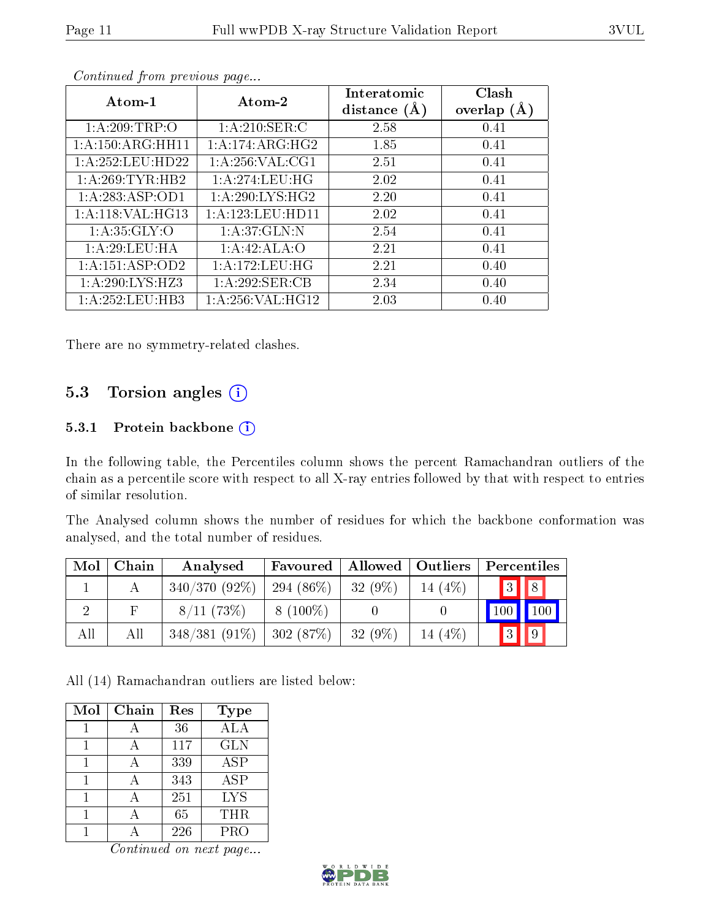| Atom-1                        | Atom-2             | Interatomic<br>distance $(A)$ | Clash<br>overlap $(A)$ |  |
|-------------------------------|--------------------|-------------------------------|------------------------|--|
| 1: A:209:TRP:O                | 1: A:210: SER: C   | 2.58                          | 0.41                   |  |
| $1:A:150:ARG:H\overline{H11}$ | 1: A:174: ARG:HG2  | 1.85                          | 0.41                   |  |
| 1: A:252:LEU:HD22             | 1: A:256: VAL:CG1  | 2.51                          | 0.41                   |  |
| 1:A:269:TYR:HB2               | 1: A:274:LEU:HG    | 2.02                          | 0.41                   |  |
| 1:A:283:ASP:OD1               | 1: A:290: LYS: HG2 | 2.20                          | 0.41                   |  |
| 1:A:118:VAL:HG13              | 1:A:123:LEU:HDI1   | 2.02                          | 0.41                   |  |
| 1: A:35: GLY:O                | 1: A:37: GLN:N     | 2.54                          | 0.41                   |  |
| 1: A:29:LEU:HA                | 1:A:42:ALA:O       | 2.21                          | 0.41                   |  |
| $1:A:151:AS\overline{P:OD2}$  | 1: A: 172: LEU: HG | 2.21                          | 0.40                   |  |
| 1: A:290: LYS: HZ3            | 1:A:292:SER:CB     | 2.34                          | 0.40                   |  |
| 1: A: 252: LEU: HB3           | 1: A:256: VAL:HG12 | 2.03                          | 0.40                   |  |

Continued from previous page...

There are no symmetry-related clashes.

#### 5.3 Torsion angles (i)

#### 5.3.1 Protein backbone (i)

In the following table, the Percentiles column shows the percent Ramachandran outliers of the chain as a percentile score with respect to all X-ray entries followed by that with respect to entries of similar resolution.

The Analysed column shows the number of residues for which the backbone conformation was analysed, and the total number of residues.

| Mol | Chain | Analysed        | Favoured    | Allowed   | $\vert$ Outliers | Percentiles                    |                    |
|-----|-------|-----------------|-------------|-----------|------------------|--------------------------------|--------------------|
|     |       | $340/370(92\%)$ | $294(86\%)$ | $32(9\%)$ | 14 $(4%)$        | $3$ $8$                        |                    |
|     | F     | 8/11(73%)       | $8(100\%)$  |           |                  | 100                            | $\blacksquare$ 100 |
| All | All   | $348/381(91\%)$ | 302(87%)    | $32(9\%)$ | 14 (4\%)         | $\boxed{3}$<br>$\vert 9 \vert$ |                    |

All (14) Ramachandran outliers are listed below:

| Mol | Chain | Res | Type       |
|-----|-------|-----|------------|
|     |       | 36  | ALA        |
|     |       | 117 | <b>GLN</b> |
|     | А     | 339 | <b>ASP</b> |
|     |       | 343 | <b>ASP</b> |
|     |       | 251 | <b>LYS</b> |
|     |       | 65  | <b>THR</b> |
|     |       | 226 | PRO        |

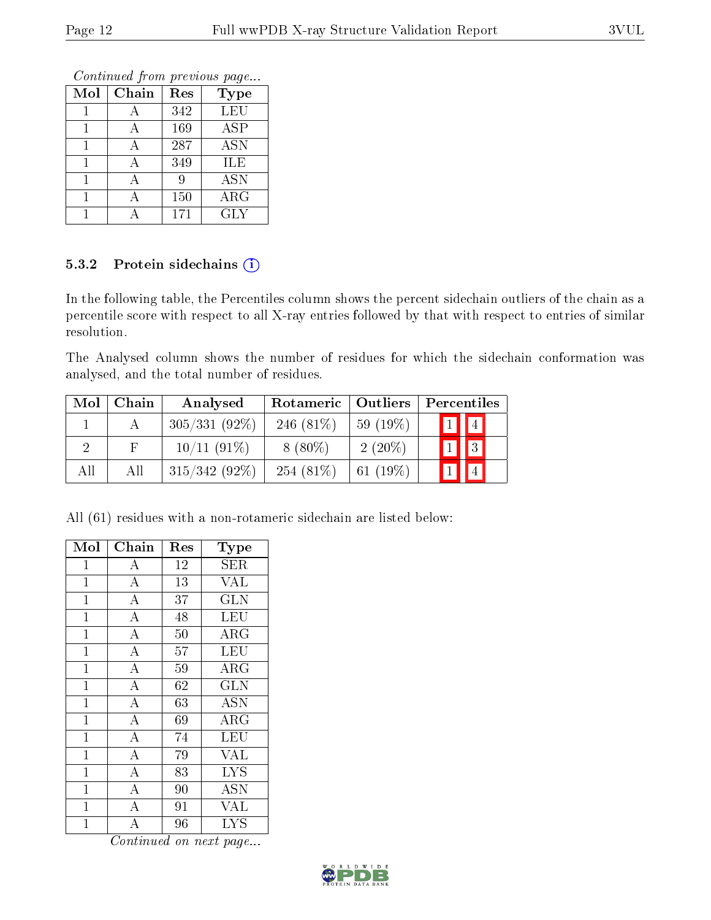Continued from previous page...

| Mol | Chain | Res | <b>Type</b> |
|-----|-------|-----|-------------|
|     |       | 342 | LEU         |
|     |       | 169 | <b>ASP</b>  |
|     | А     | 287 | <b>ASN</b>  |
|     |       | 349 | ILE         |
|     |       | 9   | <b>ASN</b>  |
|     |       | 150 | $\rm{ARG}$  |
|     |       | 171 | <b>GLY</b>  |

#### 5.3.2 Protein sidechains (i)

In the following table, the Percentiles column shows the percent sidechain outliers of the chain as a percentile score with respect to all X-ray entries followed by that with respect to entries of similar resolution.

The Analysed column shows the number of residues for which the sidechain conformation was analysed, and the total number of residues.

| Mol | Chain | Analysed        | Rotameric   Outliers |             |  | Percentiles             |  |
|-----|-------|-----------------|----------------------|-------------|--|-------------------------|--|
|     |       | $305/331(92\%)$ | 246 $(81\%)$         | $59(19\%)$  |  | $\boxed{1}$ $\boxed{4}$ |  |
|     |       | 10/11(91%)      | $8(80\%)$            | $2(20\%)$   |  | $\boxed{1}$ $\boxed{3}$ |  |
| All | All   | $315/342(92\%)$ | 254 $(81\%)$         | 61 $(19\%)$ |  |                         |  |

All (61) residues with a non-rotameric sidechain are listed below:

| Mol            | Chain              | Res | Type                      |
|----------------|--------------------|-----|---------------------------|
| $\mathbf{1}$   | A                  | 12  | SER                       |
| $\mathbf 1$    | $\overline{\rm A}$ | 13  | $\overline{\text{VAL}}$   |
| $\mathbf{1}$   | $\bf{A}$           | 37  | GLN                       |
| $\mathbf{1}$   | $\overline{\rm A}$ | 48  | $\overline{\text{LEU}}$   |
| $\overline{1}$ | $\overline{A}$     | 50  | $\rm{ARG}$                |
| $\mathbf{1}$   | $\overline{A}$     | 57  | <b>LEU</b>                |
| $\mathbf 1$    | $\overline{\rm A}$ | 59  | $\rm{\overline{A}RG}$     |
| $\mathbf 1$    | $\overline{\rm A}$ | 62  | <b>GLN</b>                |
| $\mathbf{1}$   | $\overline{\rm A}$ | 63  | $\overline{\mathrm{ASN}}$ |
| $\mathbf 1$    | $\overline{A}$     | 69  | ARG                       |
| $\mathbf{1}$   | $\overline{\rm A}$ | 74  | LEU                       |
| $\overline{1}$ | $\overline{\rm A}$ | 79  | <b>VAL</b>                |
| $\mathbf{1}$   | $\overline{A}$     | 83  | <b>LYS</b>                |
| $\mathbf 1$    | $\overline{\rm A}$ | 90  | <b>ASN</b>                |
| $\mathbf{1}$   | $\overline{A}$     | 91  | <b>VAL</b>                |
| $\mathbf 1$    | A                  | 96  | LYS                       |

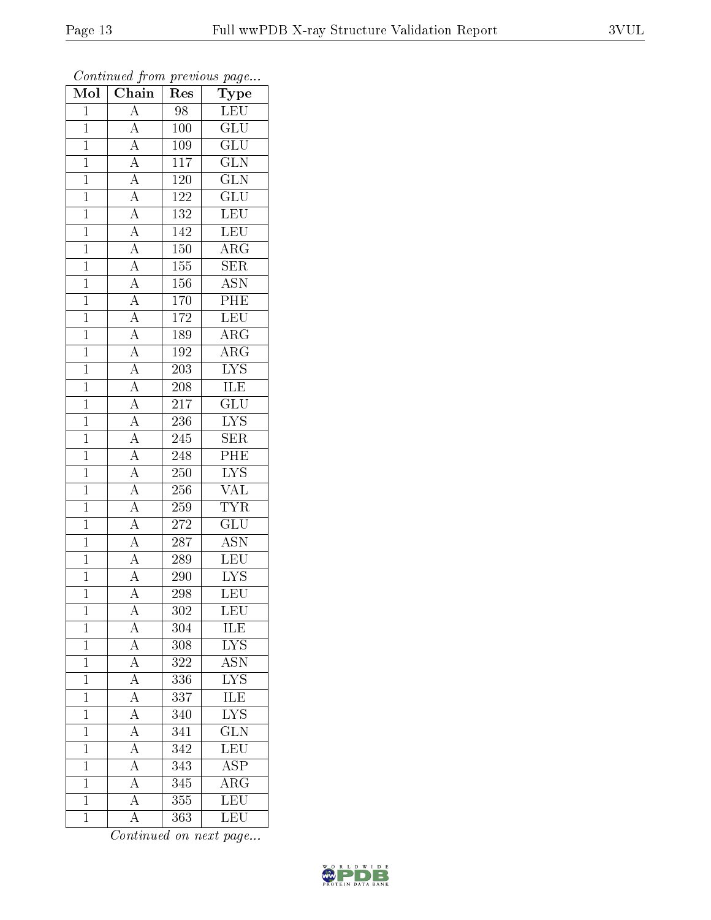| Mol            | Chain                                                                                                                                           | ${\bf Type}$<br>Res |                           |
|----------------|-------------------------------------------------------------------------------------------------------------------------------------------------|---------------------|---------------------------|
| $\mathbf{1}$   | $\overline{A}$                                                                                                                                  | 98                  | LEU                       |
| $\overline{1}$ | $\overline{A}$                                                                                                                                  | 100                 | $\overline{\text{GLU}}$   |
| $\overline{1}$ | $\frac{\overline{A}}{\overline{A}}$                                                                                                             | 109                 | $\overline{{\rm GLU}}$    |
| $\mathbf{1}$   |                                                                                                                                                 | 117                 | $\overline{\text{GLN}}$   |
| $\overline{1}$ | $\frac{\overline{A}}{\overline{A}}$                                                                                                             | <b>120</b>          | $\overline{\text{GLN}}$   |
| $\mathbf{1}$   |                                                                                                                                                 | 122                 | $\overline{\text{GLU}}$   |
| $\overline{1}$ | $\frac{\overline{A}}{\overline{A}}$                                                                                                             | 132                 | LEU                       |
| $\mathbf{1}$   |                                                                                                                                                 | 142                 | LEU                       |
| $\mathbf{1}$   |                                                                                                                                                 | $150\,$             | $\rm{ARG}$                |
| $\mathbf{1}$   |                                                                                                                                                 | 155                 | $\overline{\text{SER}}$   |
| $\mathbf{1}$   |                                                                                                                                                 | 156                 | $\overline{\text{ASN}}$   |
| $\overline{1}$ |                                                                                                                                                 | $\overline{170}$    | $\overline{\rm{PHE}}$     |
| $\overline{1}$ |                                                                                                                                                 | 172                 | LEU                       |
| $\mathbf{1}$   | $\frac{\overline{A}}{\overline{A}}$ $\frac{\overline{A}}{\overline{A}}$ $\frac{\overline{A}}{\overline{A}}$ $\frac{\overline{A}}{\overline{A}}$ | 189                 | $\rm{ARG}$                |
| $\overline{1}$ |                                                                                                                                                 | 192                 | $\overline{\rm{ARG}}$     |
| $\mathbf{1}$   |                                                                                                                                                 | 203                 | $\overline{\text{LYS}}$   |
| $\overline{1}$ |                                                                                                                                                 | $\overline{208}$    | ILE                       |
| $\mathbf{1}$   | $\frac{\overline{A}}{\overline{A}}$                                                                                                             | 217                 | $\overline{{\rm GLU}}$    |
| $\overline{1}$ |                                                                                                                                                 | 236                 | $\overline{\text{LYS}}$   |
| $\mathbf{1}$   | $\frac{\overline{A}}{\overline{A}}$ $\frac{\overline{A}}{\overline{A}}$ $\frac{\overline{A}}{\overline{A}}$                                     | 245                 | SER                       |
| $\overline{1}$ |                                                                                                                                                 | 248                 | $\overline{PHE}$          |
| $\overline{1}$ |                                                                                                                                                 | 250                 | $\overline{\text{LYS}}$   |
| $\mathbf{1}$   |                                                                                                                                                 | 256                 | $\overline{\text{VAL}}$   |
| $\overline{1}$ |                                                                                                                                                 | 259                 | <b>TYR</b>                |
| $\mathbf{1}$   |                                                                                                                                                 | 272                 | $\overline{\text{GLU}}$   |
| $\overline{1}$ | $\frac{\overline{A}}{\overline{A}}$                                                                                                             | $\overline{287}$    | $\overline{\mathrm{ASN}}$ |
| $\overline{1}$ |                                                                                                                                                 | 289                 | <b>LEU</b>                |
| $\mathbf{1}$   |                                                                                                                                                 | 290                 | $\overline{\text{LYS}}$   |
| $\mathbf 1$    | $\overline{A}$                                                                                                                                  | 298                 | LEU                       |
| $\mathbf{1}$   | А                                                                                                                                               | 302                 | LEU                       |
| $\mathbf 1$    | $\overline{A}$                                                                                                                                  | 304                 | ILE                       |
| $\overline{1}$ | $\frac{\overline{A}}{\overline{A}}$                                                                                                             | 308                 | $\overline{\text{LYS}}$   |
| $\mathbf{1}$   |                                                                                                                                                 | 322                 | ASN                       |
| $\mathbf{1}$   | $\overline{A}$                                                                                                                                  | 336                 | $\overline{\rm LYS}$      |
| $\mathbf{1}$   | $\overline{A}$                                                                                                                                  | 337                 | ILE                       |
| $\overline{1}$ | $\overline{A}$                                                                                                                                  | 340                 | $\overline{\text{LYS}}$   |
| $\mathbf{1}$   | $\overline{A}$                                                                                                                                  | 341                 | $\overline{\text{GLN}}$   |
| $\mathbf 1$    | $\overline{A}$                                                                                                                                  | 342                 | $\overline{\text{LEU}}$   |
| $\mathbf{1}$   | $\overline{A}$                                                                                                                                  | 343                 | $\overline{\rm ASP}$      |
| $\mathbf{1}$   | $\overline{A}$                                                                                                                                  | 345                 | $\overline{\rm{ARG}}$     |
| $\mathbf{1}$   | $\overline{A}$                                                                                                                                  | 355                 | LEU                       |
| $\mathbf{1}$   | $\rm A$                                                                                                                                         | 363                 | LEU                       |

Continued from previous page...

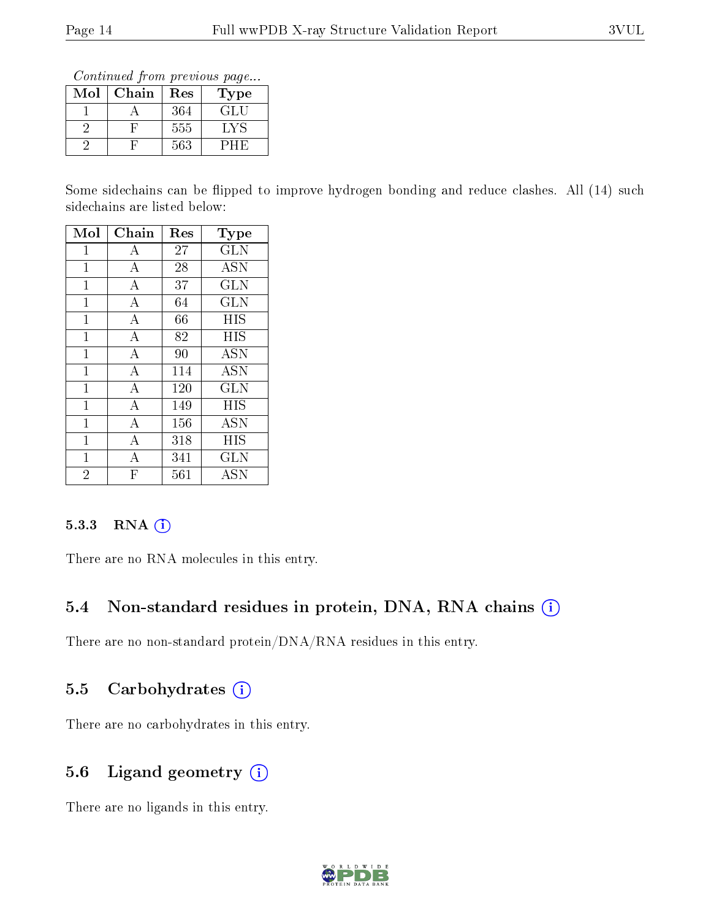Continued from previous page...

| Mol | Chain | Res | Type |
|-----|-------|-----|------|
|     |       | 364 | GLU  |
|     |       | 555 | LY S |
|     |       | 563 |      |

Some sidechains can be flipped to improve hydrogen bonding and reduce clashes. All (14) such sidechains are listed below:

| Mol            | Chain        | Res | $_{\rm Type}$        |
|----------------|--------------|-----|----------------------|
| $\mathbf{1}$   | $\bf{A}$     | 27  | <b>GLN</b>           |
| 1              | А            | 28  | <b>ASN</b>           |
| $\mathbf{1}$   | A            | 37  | <b>GLN</b>           |
| 1              | A            | 64  | <b>GLN</b>           |
| $\mathbf{1}$   | A            | 66  | HIS                  |
| 1              | А            | 82  | HIS                  |
| $\mathbf{1}$   | A            | 90  | <b>ASN</b>           |
| $\mathbf 1$    | А            | 114 | <b>ASN</b>           |
| 1              | A            | 120 | GLN                  |
| $\mathbf 1$    | А            | 149 | HIS                  |
| 1              | А            | 156 | $\rm \overline{A}SN$ |
| 1              | А            | 318 | ΗIS                  |
| $\mathbf{1}$   | А            | 341 | $_{\rm GLN}$         |
| $\overline{2}$ | $\mathbf{F}$ | 561 | $\rm \overline{A}SN$ |

#### 5.3.3 RNA (i)

There are no RNA molecules in this entry.

#### 5.4 Non-standard residues in protein, DNA, RNA chains (i)

There are no non-standard protein/DNA/RNA residues in this entry.

#### 5.5 Carbohydrates (i)

There are no carbohydrates in this entry.

#### 5.6 Ligand geometry (i)

There are no ligands in this entry.

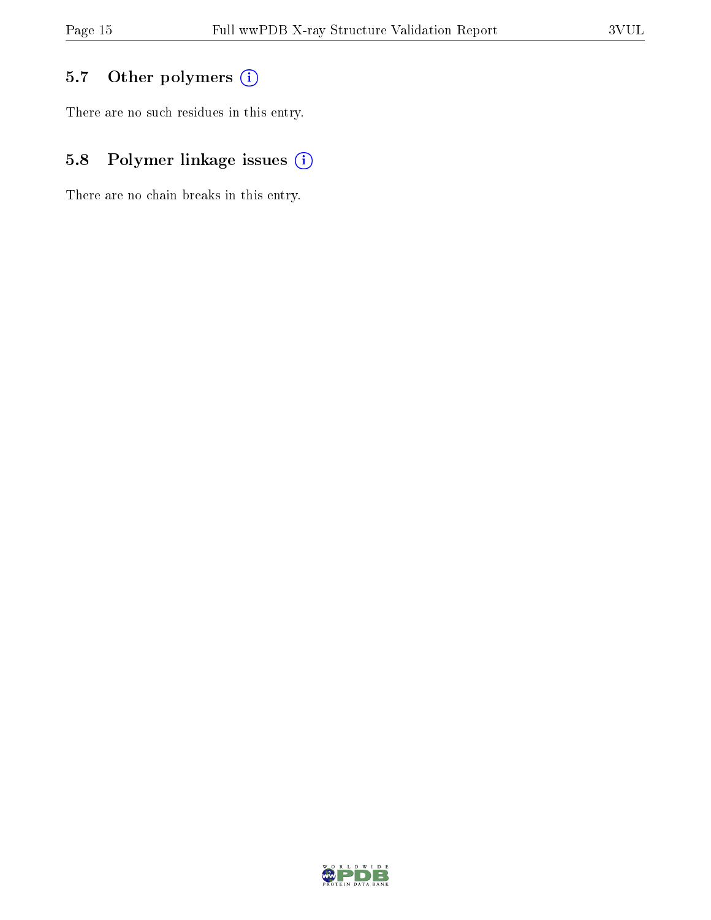### 5.7 [O](https://www.wwpdb.org/validation/2017/XrayValidationReportHelp#nonstandard_residues_and_ligands)ther polymers (i)

There are no such residues in this entry.

### 5.8 Polymer linkage issues (i)

There are no chain breaks in this entry.

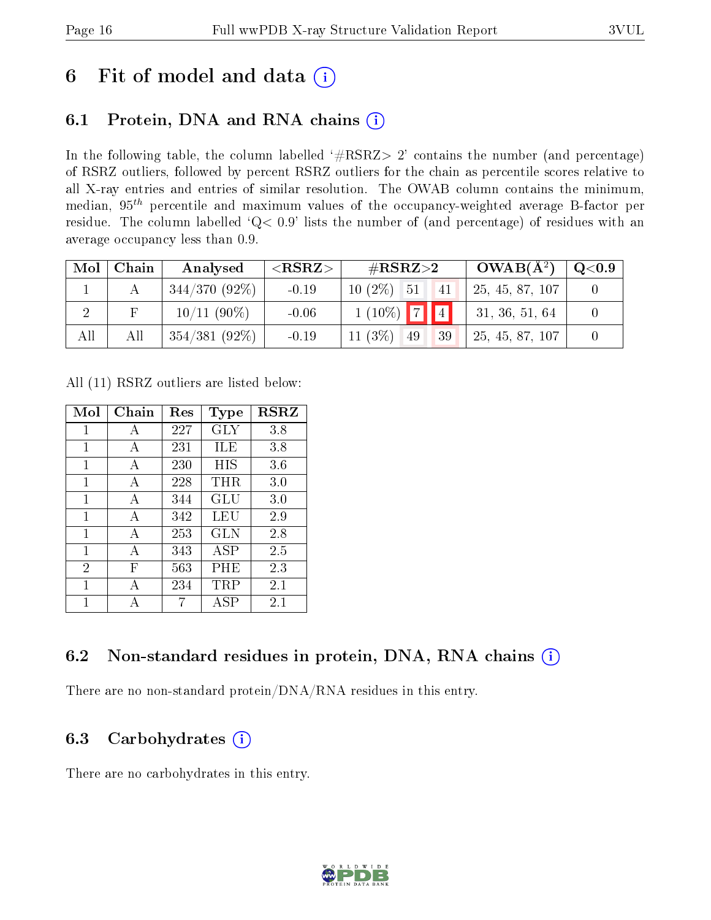## 6 Fit of model and data  $(i)$

### 6.1 Protein, DNA and RNA chains  $(i)$

In the following table, the column labelled  $#RSRZ> 2'$  contains the number (and percentage) of RSRZ outliers, followed by percent RSRZ outliers for the chain as percentile scores relative to all X-ray entries and entries of similar resolution. The OWAB column contains the minimum, median,  $95<sup>th</sup>$  percentile and maximum values of the occupancy-weighted average B-factor per residue. The column labelled ' $Q< 0.9$ ' lists the number of (and percentage) of residues with an average occupancy less than 0.9.

| Mol | Chain | Analysed        | $<$ RSRZ $>$ | $\#\text{RSRZ}{>}2$ | $OWAB(A^2)$     | Q <sub>0.9</sub> |
|-----|-------|-----------------|--------------|---------------------|-----------------|------------------|
|     |       | $344/370(92\%)$ | $-0.19$      | $10(2\%)$ 51<br> 41 | 25, 45, 87, 107 |                  |
|     |       | $10/11(90\%)$   | $-0.06$      | $1(10\%)$ 74        | 31, 36, 51, 64  |                  |
| All | All   | $354/381(92\%)$ | $-0.19$      | $11(3\%)$ 49<br>39  | 25, 45, 87, 107 |                  |

All (11) RSRZ outliers are listed below:

| Mol            | Chain | Res | Type       | <b>RSRZ</b> |
|----------------|-------|-----|------------|-------------|
| 1              | А     | 227 | GLY        | 3.8         |
| 1              | A     | 231 | ILE        | 3.8         |
| 1              | A     | 230 | HIS        | 3.6         |
| 1              | A     | 228 | $\rm THR$  | 3.0         |
| 1              | A     | 344 | GLU        | 3.0         |
| 1              | A     | 342 | LEU        | 2.9         |
| 1              | A     | 253 | GLN        | 2.8         |
| 1              | А     | 343 | <b>ASP</b> | 2.5         |
| $\overline{2}$ | F     | 563 | PHE        | 2.3         |
| 1              | А     | 234 | TRP        | 2.1         |
| 1              |       |     | ASP        | 2.1         |

### 6.2 Non-standard residues in protein, DNA, RNA chains (i)

There are no non-standard protein/DNA/RNA residues in this entry.

### 6.3 Carbohydrates  $(i)$

There are no carbohydrates in this entry.